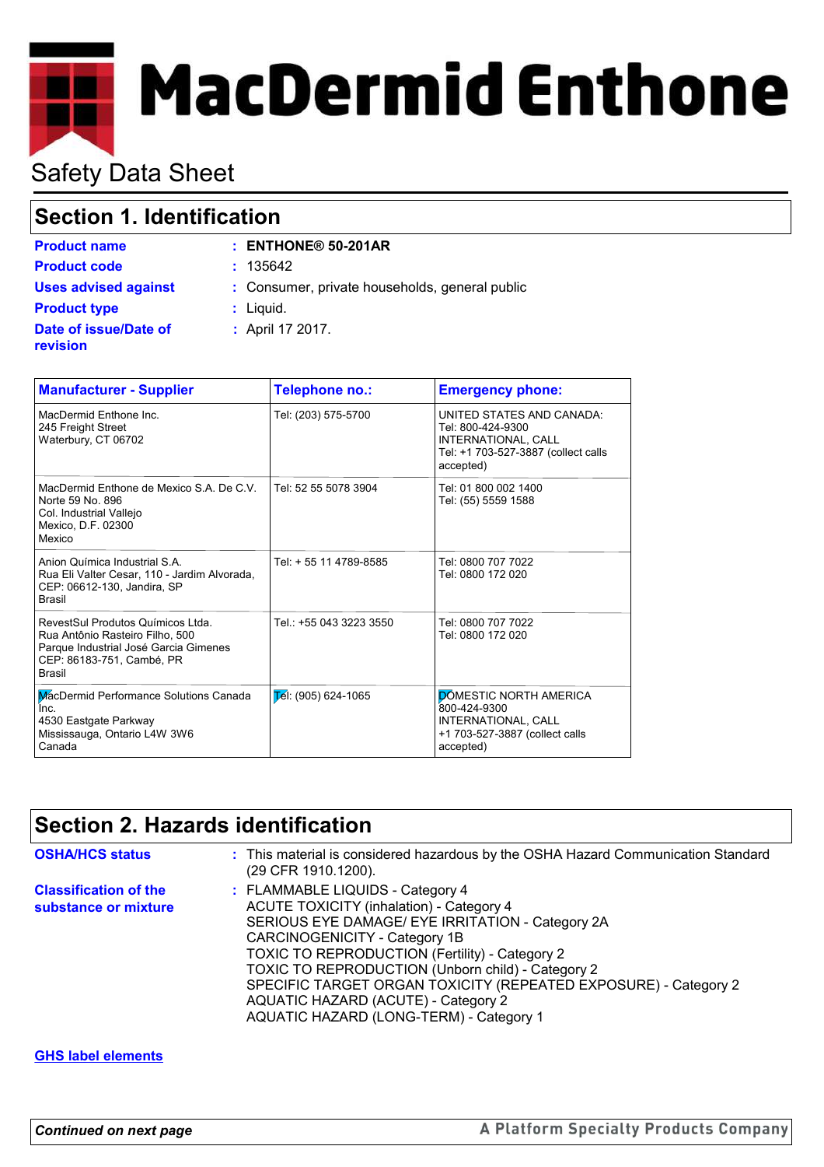# **MacDermid Enthone**

# Safety Data Sheet

# **Section 1. Identification**

|  |  |  |  | ורווויטענוטוו |  |  |  |  |
|--|--|--|--|---------------|--|--|--|--|
|  |  |  |  |               |  |  |  |  |

| <b>Product name</b>               | $:$ ENTHONE® 50-201AR                          |
|-----------------------------------|------------------------------------------------|
| <b>Product code</b>               | : 135642                                       |
| <b>Uses advised against</b>       | : Consumer, private households, general public |
| <b>Product type</b>               | : Liquid.                                      |
| Date of issue/Date of<br>revision | : April 17 2017.                               |

| <b>Manufacturer - Supplier</b>                                                                                                                              | Telephone no.:                  | <b>Emergency phone:</b>                                                                                                   |
|-------------------------------------------------------------------------------------------------------------------------------------------------------------|---------------------------------|---------------------------------------------------------------------------------------------------------------------------|
| MacDermid Enthone Inc.<br>245 Freight Street<br>Waterbury, CT 06702                                                                                         | Tel: (203) 575-5700             | UNITED STATES AND CANADA:<br>Tel: 800-424-9300<br>INTERNATIONAL, CALL<br>Tel: +1 703-527-3887 (collect calls<br>accepted) |
| MacDermid Enthone de Mexico S.A. De C.V.<br>Norte 59 No. 896<br>Col. Industrial Vallejo<br>Mexico, D.F. 02300<br>Mexico                                     | Tel: 52 55 5078 3904            | Tel: 01 800 002 1400<br>Tel: (55) 5559 1588                                                                               |
| Anion Química Industrial S.A.<br>Rua Eli Valter Cesar, 110 - Jardim Alvorada,<br>CEP: 06612-130, Jandira, SP<br><b>Brasil</b>                               | Tel: + 55 11 4789-8585          | Tel: 0800 707 7022<br>Tel: 0800 172 020                                                                                   |
| RevestSul Produtos Químicos Ltda.<br>Rua Antônio Rasteiro Filho, 500<br>Parque Industrial José Garcia Gimenes<br>CEP: 86183-751, Cambé, PR<br><b>Brasil</b> | Tel.: +55 043 3223 3550         | Tel: 0800 707 7022<br>Tel: 0800 172 020                                                                                   |
| MacDermid Performance Solutions Canada<br>Inc.<br>4530 Eastgate Parkway<br>Mississauga, Ontario L4W 3W6<br>Canada                                           | $\mathsf{E}$ él: (905) 624-1065 | <b>DÓMESTIC NORTH AMERICA</b><br>800-424-9300<br>INTERNATIONAL, CALL<br>+1 703-527-3887 (collect calls<br>accepted)       |

# **Section 2. Hazards identification**

| <b>OSHA/HCS status</b>                               | : This material is considered hazardous by the OSHA Hazard Communication Standard<br>(29 CFR 1910.1200).                                                                                                                                                                                                                                                                                                                             |
|------------------------------------------------------|--------------------------------------------------------------------------------------------------------------------------------------------------------------------------------------------------------------------------------------------------------------------------------------------------------------------------------------------------------------------------------------------------------------------------------------|
| <b>Classification of the</b><br>substance or mixture | : FLAMMABLE LIQUIDS - Category 4<br><b>ACUTE TOXICITY (inhalation) - Category 4</b><br>SERIOUS EYE DAMAGE/ EYE IRRITATION - Category 2A<br>CARCINOGENICITY - Category 1B<br>TOXIC TO REPRODUCTION (Fertility) - Category 2<br>TOXIC TO REPRODUCTION (Unborn child) - Category 2<br>SPECIFIC TARGET ORGAN TOXICITY (REPEATED EXPOSURE) - Category 2<br>AQUATIC HAZARD (ACUTE) - Category 2<br>AQUATIC HAZARD (LONG-TERM) - Category 1 |

#### **GHS label elements**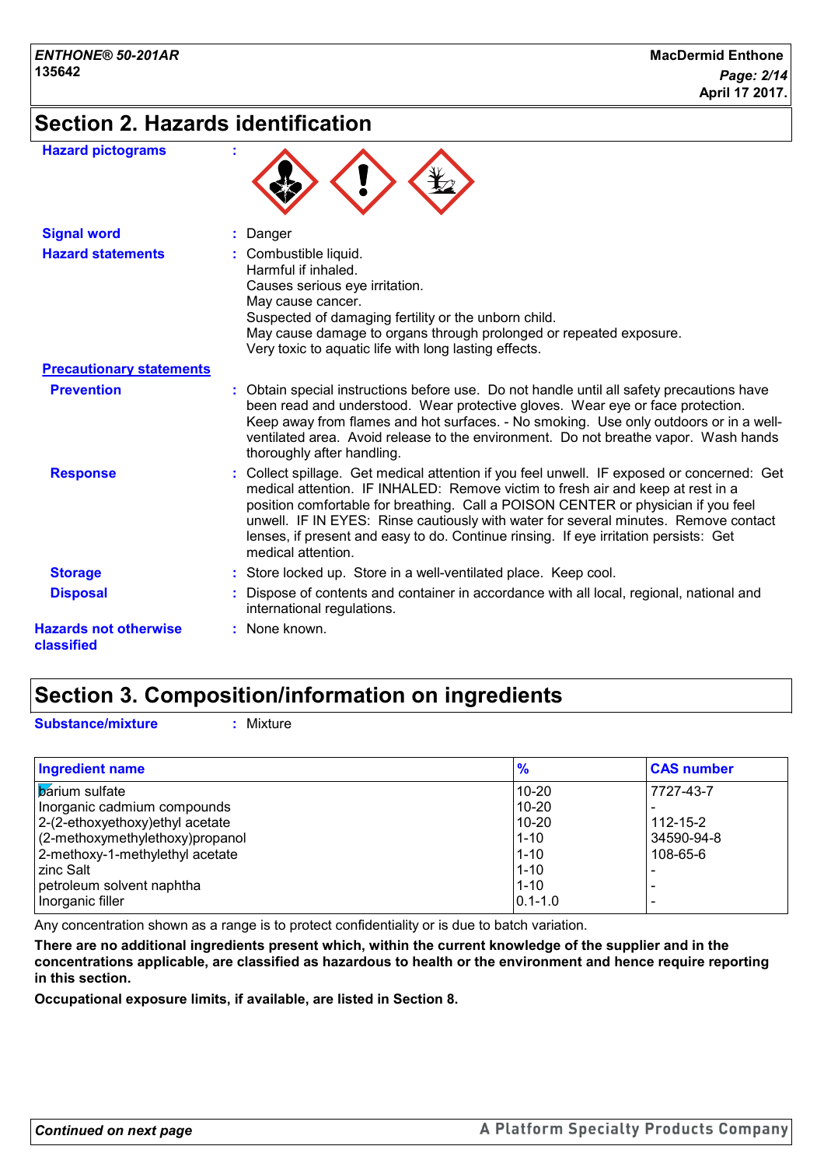# **Section 2. Hazards identification**

| <b>Hazard pictograms</b>                   |                                                                                                                                                                                                                                                                                                                                                                                                                                                                         |
|--------------------------------------------|-------------------------------------------------------------------------------------------------------------------------------------------------------------------------------------------------------------------------------------------------------------------------------------------------------------------------------------------------------------------------------------------------------------------------------------------------------------------------|
| <b>Signal word</b>                         | Danger                                                                                                                                                                                                                                                                                                                                                                                                                                                                  |
| <b>Hazard statements</b>                   | : Combustible liquid.<br>Harmful if inhaled.<br>Causes serious eye irritation.<br>May cause cancer.<br>Suspected of damaging fertility or the unborn child.<br>May cause damage to organs through prolonged or repeated exposure.<br>Very toxic to aquatic life with long lasting effects.                                                                                                                                                                              |
| <b>Precautionary statements</b>            |                                                                                                                                                                                                                                                                                                                                                                                                                                                                         |
| <b>Prevention</b>                          | : Obtain special instructions before use. Do not handle until all safety precautions have<br>been read and understood. Wear protective gloves. Wear eye or face protection.<br>Keep away from flames and hot surfaces. - No smoking. Use only outdoors or in a well-<br>ventilated area. Avoid release to the environment. Do not breathe vapor. Wash hands<br>thoroughly after handling.                                                                               |
| <b>Response</b>                            | : Collect spillage. Get medical attention if you feel unwell. IF exposed or concerned: Get<br>medical attention. IF INHALED: Remove victim to fresh air and keep at rest in a<br>position comfortable for breathing. Call a POISON CENTER or physician if you feel<br>unwell. IF IN EYES: Rinse cautiously with water for several minutes. Remove contact<br>lenses, if present and easy to do. Continue rinsing. If eye irritation persists: Get<br>medical attention. |
| <b>Storage</b>                             | : Store locked up. Store in a well-ventilated place. Keep cool.                                                                                                                                                                                                                                                                                                                                                                                                         |
| <b>Disposal</b>                            | : Dispose of contents and container in accordance with all local, regional, national and<br>international regulations.                                                                                                                                                                                                                                                                                                                                                  |
| <b>Hazards not otherwise</b><br>classified | : None known.                                                                                                                                                                                                                                                                                                                                                                                                                                                           |

## **Section 3. Composition/information on ingredients**

**Substance/mixture :** Mixture

| <b>Ingredient name</b>              | $\frac{9}{6}$ | <b>CAS number</b> |
|-------------------------------------|---------------|-------------------|
| <b>barium</b> sulfate               | $10 - 20$     | 7727-43-7         |
| Inorganic cadmium compounds         | $10 - 20$     |                   |
| $ 2-(2-ethoxyethoxy)ethyl$ acetate  | $10 - 20$     | $112 - 15 - 2$    |
| $(2$ -methoxymethylethoxy) propanol | $1 - 10$      | 34590-94-8        |
| 2-methoxy-1-methylethyl acetate     | $1 - 10$      | 108-65-6          |
| zinc Salt                           | $1 - 10$      |                   |
| petroleum solvent naphtha           | $1 - 10$      |                   |
| Inorganic filler                    | $ 0.1 - 1.0$  |                   |

Any concentration shown as a range is to protect confidentiality or is due to batch variation.

**There are no additional ingredients present which, within the current knowledge of the supplier and in the concentrations applicable, are classified as hazardous to health or the environment and hence require reporting in this section.**

**Occupational exposure limits, if available, are listed in Section 8.**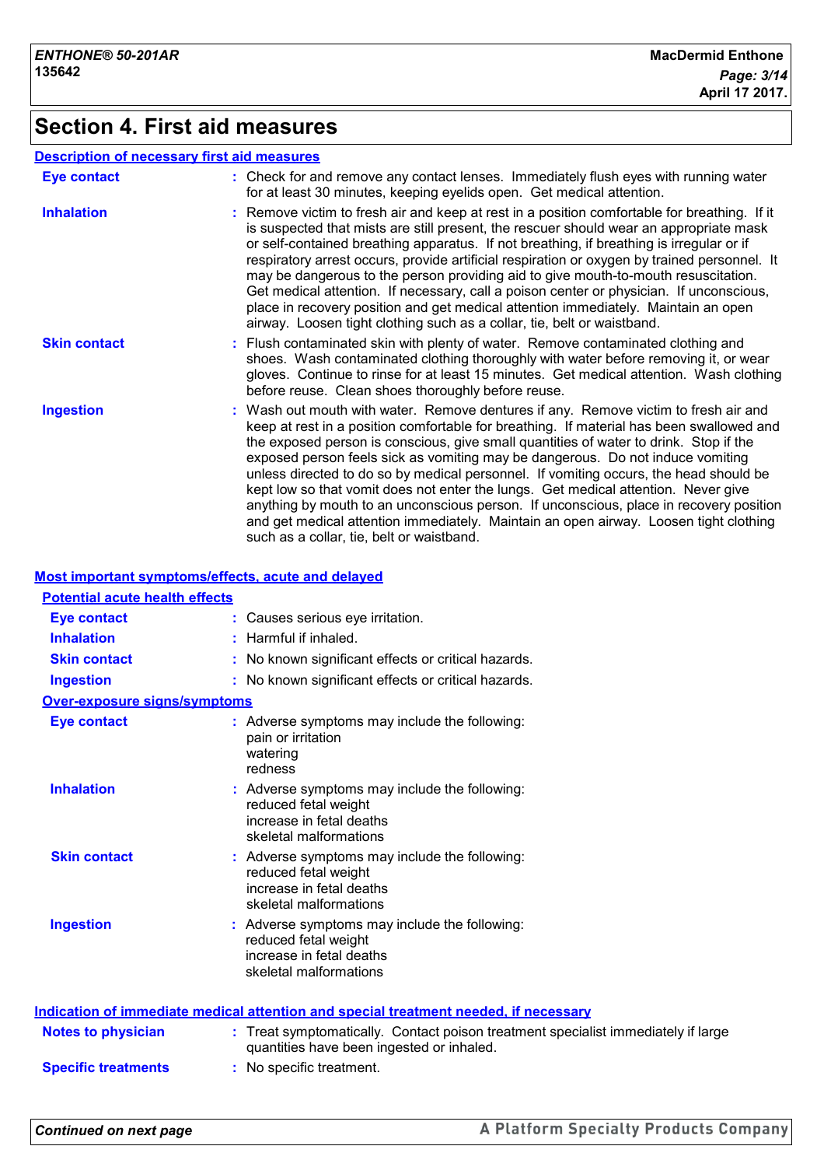# **Section 4. First aid measures**

#### **Description of necessary first aid measures**

| <b>Eye contact</b>  | : Check for and remove any contact lenses. Immediately flush eyes with running water<br>for at least 30 minutes, keeping eyelids open. Get medical attention.                                                                                                                                                                                                                                                                                                                                                                                                                                                                                                                                                                                                             |
|---------------------|---------------------------------------------------------------------------------------------------------------------------------------------------------------------------------------------------------------------------------------------------------------------------------------------------------------------------------------------------------------------------------------------------------------------------------------------------------------------------------------------------------------------------------------------------------------------------------------------------------------------------------------------------------------------------------------------------------------------------------------------------------------------------|
| <b>Inhalation</b>   | : Remove victim to fresh air and keep at rest in a position comfortable for breathing. If it<br>is suspected that mists are still present, the rescuer should wear an appropriate mask<br>or self-contained breathing apparatus. If not breathing, if breathing is irregular or if<br>respiratory arrest occurs, provide artificial respiration or oxygen by trained personnel. It<br>may be dangerous to the person providing aid to give mouth-to-mouth resuscitation.<br>Get medical attention. If necessary, call a poison center or physician. If unconscious,<br>place in recovery position and get medical attention immediately. Maintain an open<br>airway. Loosen tight clothing such as a collar, tie, belt or waistband.                                      |
| <b>Skin contact</b> | : Flush contaminated skin with plenty of water. Remove contaminated clothing and<br>shoes. Wash contaminated clothing thoroughly with water before removing it, or wear<br>gloves. Continue to rinse for at least 15 minutes. Get medical attention. Wash clothing<br>before reuse. Clean shoes thoroughly before reuse.                                                                                                                                                                                                                                                                                                                                                                                                                                                  |
| <b>Ingestion</b>    | : Wash out mouth with water. Remove dentures if any. Remove victim to fresh air and<br>keep at rest in a position comfortable for breathing. If material has been swallowed and<br>the exposed person is conscious, give small quantities of water to drink. Stop if the<br>exposed person feels sick as vomiting may be dangerous. Do not induce vomiting<br>unless directed to do so by medical personnel. If vomiting occurs, the head should be<br>kept low so that vomit does not enter the lungs. Get medical attention. Never give<br>anything by mouth to an unconscious person. If unconscious, place in recovery position<br>and get medical attention immediately. Maintain an open airway. Loosen tight clothing<br>such as a collar, tie, belt or waistband. |

#### **Most important symptoms/effects, acute and delayed**

| <b>Potential acute health effects</b> |                                                                                                                                |
|---------------------------------------|--------------------------------------------------------------------------------------------------------------------------------|
| <b>Eye contact</b>                    | Causes serious eye irritation.                                                                                                 |
| <b>Inhalation</b>                     | Harmful if inhaled.                                                                                                            |
| <b>Skin contact</b>                   | No known significant effects or critical hazards.                                                                              |
| <b>Ingestion</b>                      | No known significant effects or critical hazards.                                                                              |
| <b>Over-exposure signs/symptoms</b>   |                                                                                                                                |
| <b>Eye contact</b>                    | : Adverse symptoms may include the following:<br>pain or irritation<br>watering<br>redness                                     |
| <b>Inhalation</b>                     | : Adverse symptoms may include the following:<br>reduced fetal weight<br>increase in fetal deaths<br>skeletal malformations    |
| <b>Skin contact</b>                   | : Adverse symptoms may include the following:<br>reduced fetal weight<br>increase in fetal deaths<br>skeletal malformations    |
| <b>Ingestion</b>                      | : Adverse symptoms may include the following:<br>reduced fetal weight<br>increase in fetal deaths<br>skeletal malformations    |
|                                       | <b>Indication of immediate medical attention and special treatment needed, if necessary</b>                                    |
| <b>Notes to physician</b>             | : Treat symptomatically. Contact poison treatment specialist immediately if large<br>quantities have been ingested or inhaled. |
| <b>Specific treatments</b>            | : No specific treatment.                                                                                                       |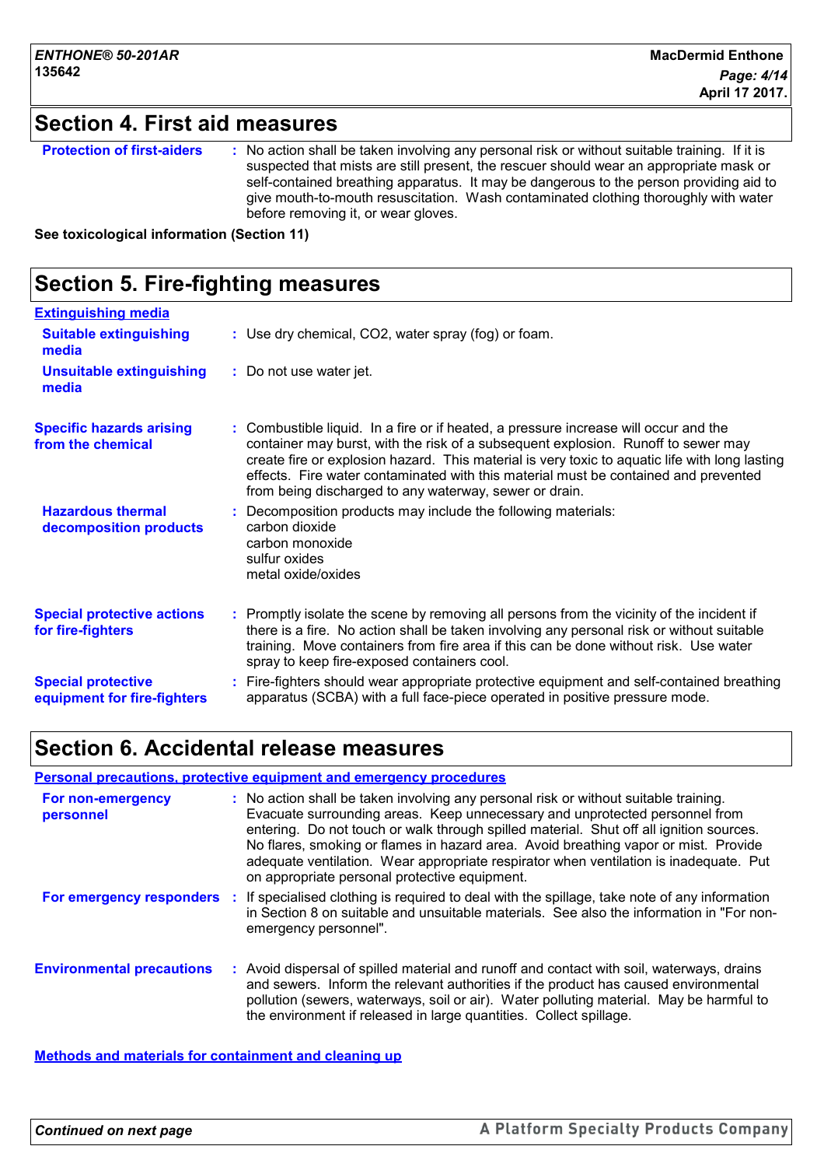# **Section 4. First aid measures**

| <b>Protection of first-aiders</b> | : No action shall be taken involving any personal risk or without suitable training. If it is<br>suspected that mists are still present, the rescuer should wear an appropriate mask or<br>self-contained breathing apparatus. It may be dangerous to the person providing aid to<br>give mouth-to-mouth resuscitation. Wash contaminated clothing thoroughly with water<br>before removing it, or wear gloves. |
|-----------------------------------|-----------------------------------------------------------------------------------------------------------------------------------------------------------------------------------------------------------------------------------------------------------------------------------------------------------------------------------------------------------------------------------------------------------------|
|-----------------------------------|-----------------------------------------------------------------------------------------------------------------------------------------------------------------------------------------------------------------------------------------------------------------------------------------------------------------------------------------------------------------------------------------------------------------|

**See toxicological information (Section 11)**

| <b>Section 5. Fire-fighting measures</b>                 |                                                                                                                                                                                                                                                                                                                                                                                                                              |  |  |  |  |
|----------------------------------------------------------|------------------------------------------------------------------------------------------------------------------------------------------------------------------------------------------------------------------------------------------------------------------------------------------------------------------------------------------------------------------------------------------------------------------------------|--|--|--|--|
| <b>Extinguishing media</b>                               |                                                                                                                                                                                                                                                                                                                                                                                                                              |  |  |  |  |
| <b>Suitable extinguishing</b><br>media                   | : Use dry chemical, CO2, water spray (fog) or foam.                                                                                                                                                                                                                                                                                                                                                                          |  |  |  |  |
| <b>Unsuitable extinguishing</b><br>media                 | : Do not use water jet.                                                                                                                                                                                                                                                                                                                                                                                                      |  |  |  |  |
| <b>Specific hazards arising</b><br>from the chemical     | : Combustible liquid. In a fire or if heated, a pressure increase will occur and the<br>container may burst, with the risk of a subsequent explosion. Runoff to sewer may<br>create fire or explosion hazard. This material is very toxic to aquatic life with long lasting<br>effects. Fire water contaminated with this material must be contained and prevented<br>from being discharged to any waterway, sewer or drain. |  |  |  |  |
| <b>Hazardous thermal</b><br>decomposition products       | Decomposition products may include the following materials:<br>carbon dioxide<br>carbon monoxide<br>sulfur oxides<br>metal oxide/oxides                                                                                                                                                                                                                                                                                      |  |  |  |  |
| <b>Special protective actions</b><br>for fire-fighters   | Promptly isolate the scene by removing all persons from the vicinity of the incident if<br>there is a fire. No action shall be taken involving any personal risk or without suitable<br>training. Move containers from fire area if this can be done without risk. Use water<br>spray to keep fire-exposed containers cool.                                                                                                  |  |  |  |  |
| <b>Special protective</b><br>equipment for fire-fighters | Fire-fighters should wear appropriate protective equipment and self-contained breathing<br>apparatus (SCBA) with a full face-piece operated in positive pressure mode.                                                                                                                                                                                                                                                       |  |  |  |  |

## **Section 6. Accidental release measures**

#### **Personal precautions, protective equipment and emergency procedures**

| For non-emergency<br>personnel   | : No action shall be taken involving any personal risk or without suitable training.<br>Evacuate surrounding areas. Keep unnecessary and unprotected personnel from<br>entering. Do not touch or walk through spilled material. Shut off all ignition sources.<br>No flares, smoking or flames in hazard area. Avoid breathing vapor or mist. Provide<br>adequate ventilation. Wear appropriate respirator when ventilation is inadequate. Put<br>on appropriate personal protective equipment. |
|----------------------------------|-------------------------------------------------------------------------------------------------------------------------------------------------------------------------------------------------------------------------------------------------------------------------------------------------------------------------------------------------------------------------------------------------------------------------------------------------------------------------------------------------|
| For emergency responders :       | If specialised clothing is required to deal with the spillage, take note of any information<br>in Section 8 on suitable and unsuitable materials. See also the information in "For non-<br>emergency personnel".                                                                                                                                                                                                                                                                                |
| <b>Environmental precautions</b> | : Avoid dispersal of spilled material and runoff and contact with soil, waterways, drains<br>and sewers. Inform the relevant authorities if the product has caused environmental<br>pollution (sewers, waterways, soil or air). Water polluting material. May be harmful to<br>the environment if released in large quantities. Collect spillage.                                                                                                                                               |

**Methods and materials for containment and cleaning up**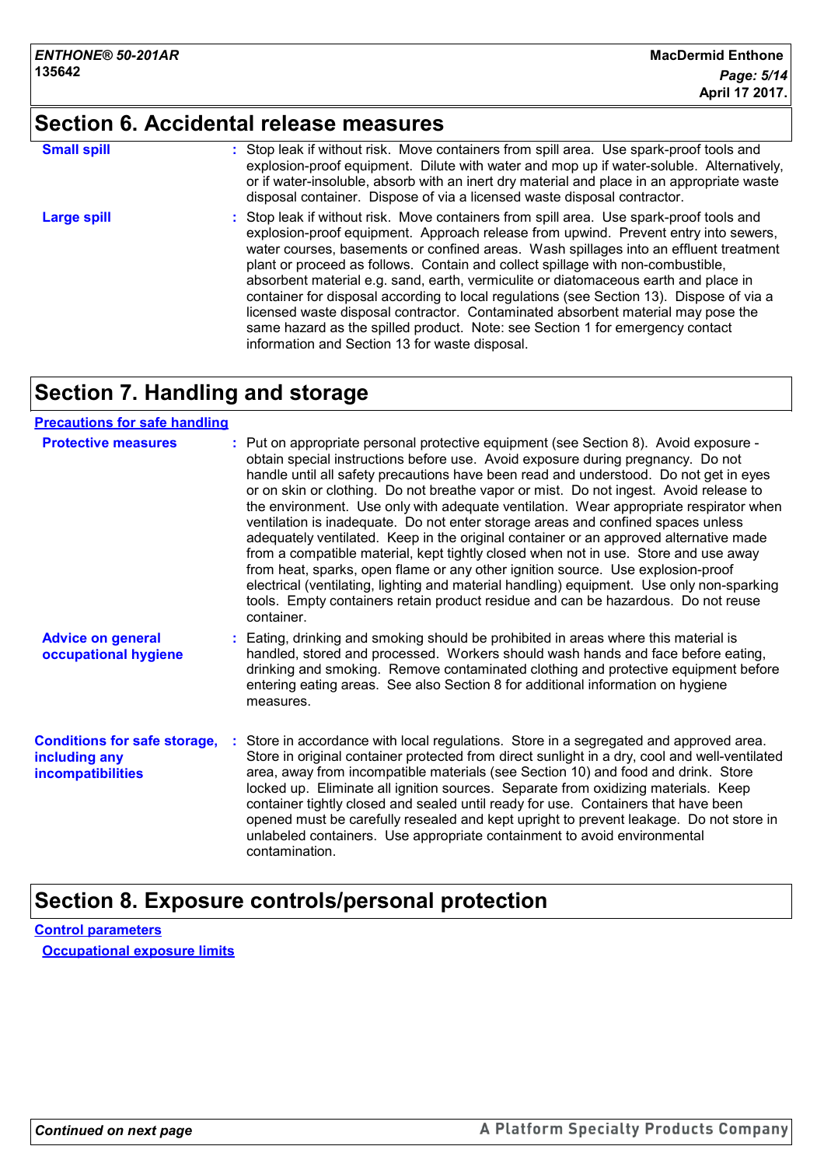# **Section 6. Accidental release measures**

| <b>Small spill</b> | : Stop leak if without risk. Move containers from spill area. Use spark-proof tools and<br>explosion-proof equipment. Dilute with water and mop up if water-soluble. Alternatively,<br>or if water-insoluble, absorb with an inert dry material and place in an appropriate waste                                                                                                                                                                                                                                                                                                                                                                                                                                                                                    |
|--------------------|----------------------------------------------------------------------------------------------------------------------------------------------------------------------------------------------------------------------------------------------------------------------------------------------------------------------------------------------------------------------------------------------------------------------------------------------------------------------------------------------------------------------------------------------------------------------------------------------------------------------------------------------------------------------------------------------------------------------------------------------------------------------|
|                    | disposal container. Dispose of via a licensed waste disposal contractor.                                                                                                                                                                                                                                                                                                                                                                                                                                                                                                                                                                                                                                                                                             |
| <b>Large spill</b> | : Stop leak if without risk. Move containers from spill area. Use spark-proof tools and<br>explosion-proof equipment. Approach release from upwind. Prevent entry into sewers,<br>water courses, basements or confined areas. Wash spillages into an effluent treatment<br>plant or proceed as follows. Contain and collect spillage with non-combustible,<br>absorbent material e.g. sand, earth, vermiculite or diatomaceous earth and place in<br>container for disposal according to local regulations (see Section 13). Dispose of via a<br>licensed waste disposal contractor. Contaminated absorbent material may pose the<br>same hazard as the spilled product. Note: see Section 1 for emergency contact<br>information and Section 13 for waste disposal. |

# **Section 7. Handling and storage**

#### **Precautions for safe handling**

| <b>Protective measures</b>                                                       | : Put on appropriate personal protective equipment (see Section 8). Avoid exposure -<br>obtain special instructions before use. Avoid exposure during pregnancy. Do not<br>handle until all safety precautions have been read and understood. Do not get in eyes<br>or on skin or clothing. Do not breathe vapor or mist. Do not ingest. Avoid release to<br>the environment. Use only with adequate ventilation. Wear appropriate respirator when<br>ventilation is inadequate. Do not enter storage areas and confined spaces unless<br>adequately ventilated. Keep in the original container or an approved alternative made<br>from a compatible material, kept tightly closed when not in use. Store and use away<br>from heat, sparks, open flame or any other ignition source. Use explosion-proof<br>electrical (ventilating, lighting and material handling) equipment. Use only non-sparking<br>tools. Empty containers retain product residue and can be hazardous. Do not reuse<br>container. |
|----------------------------------------------------------------------------------|-----------------------------------------------------------------------------------------------------------------------------------------------------------------------------------------------------------------------------------------------------------------------------------------------------------------------------------------------------------------------------------------------------------------------------------------------------------------------------------------------------------------------------------------------------------------------------------------------------------------------------------------------------------------------------------------------------------------------------------------------------------------------------------------------------------------------------------------------------------------------------------------------------------------------------------------------------------------------------------------------------------|
| <b>Advice on general</b><br>occupational hygiene                                 | : Eating, drinking and smoking should be prohibited in areas where this material is<br>handled, stored and processed. Workers should wash hands and face before eating,<br>drinking and smoking. Remove contaminated clothing and protective equipment before<br>entering eating areas. See also Section 8 for additional information on hygiene<br>measures.                                                                                                                                                                                                                                                                                                                                                                                                                                                                                                                                                                                                                                             |
| <b>Conditions for safe storage,</b><br>including any<br><b>incompatibilities</b> | : Store in accordance with local regulations. Store in a segregated and approved area.<br>Store in original container protected from direct sunlight in a dry, cool and well-ventilated<br>area, away from incompatible materials (see Section 10) and food and drink. Store<br>locked up. Eliminate all ignition sources. Separate from oxidizing materials. Keep<br>container tightly closed and sealed until ready for use. Containers that have been<br>opened must be carefully resealed and kept upright to prevent leakage. Do not store in<br>unlabeled containers. Use appropriate containment to avoid environmental<br>contamination.                                                                                                                                                                                                                                                                                                                                                          |

## **Section 8. Exposure controls/personal protection**

**Control parameters Occupational exposure limits**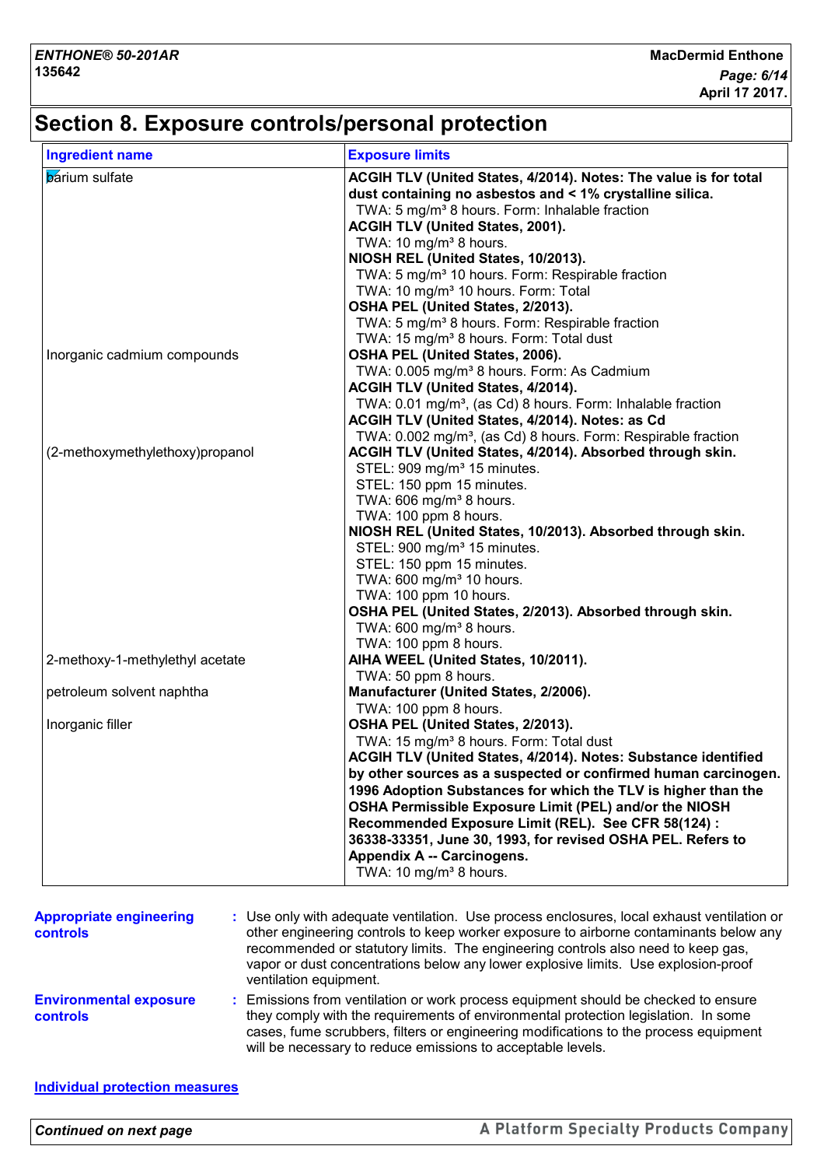# **Section 8. Exposure controls/personal protection**

| <b>Ingredient name</b>          | <b>Exposure limits</b>                                                                     |
|---------------------------------|--------------------------------------------------------------------------------------------|
| <b>b</b> arium sulfate          | ACGIH TLV (United States, 4/2014). Notes: The value is for total                           |
|                                 | dust containing no asbestos and < 1% crystalline silica.                                   |
|                                 | TWA: 5 mg/m <sup>3</sup> 8 hours. Form: Inhalable fraction                                 |
|                                 | <b>ACGIH TLV (United States, 2001).</b>                                                    |
|                                 | TWA: 10 mg/m <sup>3</sup> 8 hours.                                                         |
|                                 | NIOSH REL (United States, 10/2013).                                                        |
|                                 | TWA: 5 mg/m <sup>3</sup> 10 hours. Form: Respirable fraction                               |
|                                 | TWA: 10 mg/m <sup>3</sup> 10 hours. Form: Total                                            |
|                                 | OSHA PEL (United States, 2/2013).                                                          |
|                                 | TWA: 5 mg/m <sup>3</sup> 8 hours. Form: Respirable fraction                                |
|                                 | TWA: 15 mg/m <sup>3</sup> 8 hours. Form: Total dust                                        |
| Inorganic cadmium compounds     | OSHA PEL (United States, 2006).                                                            |
|                                 | TWA: 0.005 mg/m <sup>3</sup> 8 hours. Form: As Cadmium                                     |
|                                 | ACGIH TLV (United States, 4/2014).                                                         |
|                                 | TWA: 0.01 mg/m <sup>3</sup> , (as Cd) 8 hours. Form: Inhalable fraction                    |
|                                 | ACGIH TLV (United States, 4/2014). Notes: as Cd                                            |
|                                 | TWA: 0.002 mg/m <sup>3</sup> , (as Cd) 8 hours. Form: Respirable fraction                  |
| (2-methoxymethylethoxy)propanol | ACGIH TLV (United States, 4/2014). Absorbed through skin.                                  |
|                                 | STEL: 909 mg/m <sup>3</sup> 15 minutes.                                                    |
|                                 | STEL: 150 ppm 15 minutes.<br>TWA: 606 mg/m <sup>3</sup> 8 hours.                           |
|                                 | TWA: 100 ppm 8 hours.                                                                      |
|                                 | NIOSH REL (United States, 10/2013). Absorbed through skin.                                 |
|                                 | STEL: 900 mg/m <sup>3</sup> 15 minutes.                                                    |
|                                 | STEL: 150 ppm 15 minutes.                                                                  |
|                                 | TWA: 600 mg/m <sup>3</sup> 10 hours.                                                       |
|                                 | TWA: 100 ppm 10 hours.                                                                     |
|                                 | OSHA PEL (United States, 2/2013). Absorbed through skin.                                   |
|                                 | TWA: 600 mg/m <sup>3</sup> 8 hours.                                                        |
|                                 | TWA: 100 ppm 8 hours.                                                                      |
| 2-methoxy-1-methylethyl acetate | AIHA WEEL (United States, 10/2011).                                                        |
|                                 | TWA: 50 ppm 8 hours.                                                                       |
| petroleum solvent naphtha       | Manufacturer (United States, 2/2006).                                                      |
|                                 | TWA: 100 ppm 8 hours.                                                                      |
| Inorganic filler                | OSHA PEL (United States, 2/2013).                                                          |
|                                 | TWA: 15 mg/m <sup>3</sup> 8 hours. Form: Total dust                                        |
|                                 |                                                                                            |
|                                 | ACGIH TLV (United States, 4/2014). Notes: Substance identified                             |
|                                 | by other sources as a suspected or confirmed human carcinogen.                             |
|                                 | 1996 Adoption Substances for which the TLV is higher than the                              |
|                                 | OSHA Permissible Exposure Limit (PEL) and/or the NIOSH                                     |
|                                 | Recommended Exposure Limit (REL). See CFR 58(124) :                                        |
|                                 | 36338-33351, June 30, 1993, for revised OSHA PEL. Refers to                                |
|                                 | Appendix A -- Carcinogens.                                                                 |
|                                 | TWA: 10 mg/m <sup>3</sup> 8 hours.                                                         |
|                                 |                                                                                            |
| <b>Appropriate engineering</b>  | : Use only with adequate ventilation. Use process enclosures, local exhaust ventilation or |
| controls                        | other engineering controls to keep worker exposure to airborne contaminants below any      |
|                                 | recommended or statutory limits. The engineering controls also need to keep gas,           |
|                                 | vapor or dust concentrations below any lower explosive limits. Use explosion-proof         |
|                                 | ventilation equipment.                                                                     |
| <b>Environmental exposure</b>   | : Emissions from ventilation or work process equipment should be checked to ensure         |
| controls                        | they comply with the requirements of environmental protection legislation. In some         |
|                                 | cases, fume scrubbers, filters or engineering modifications to the process equipment       |
|                                 |                                                                                            |
|                                 | will be necessary to reduce emissions to acceptable levels.                                |

#### **Individual protection measures**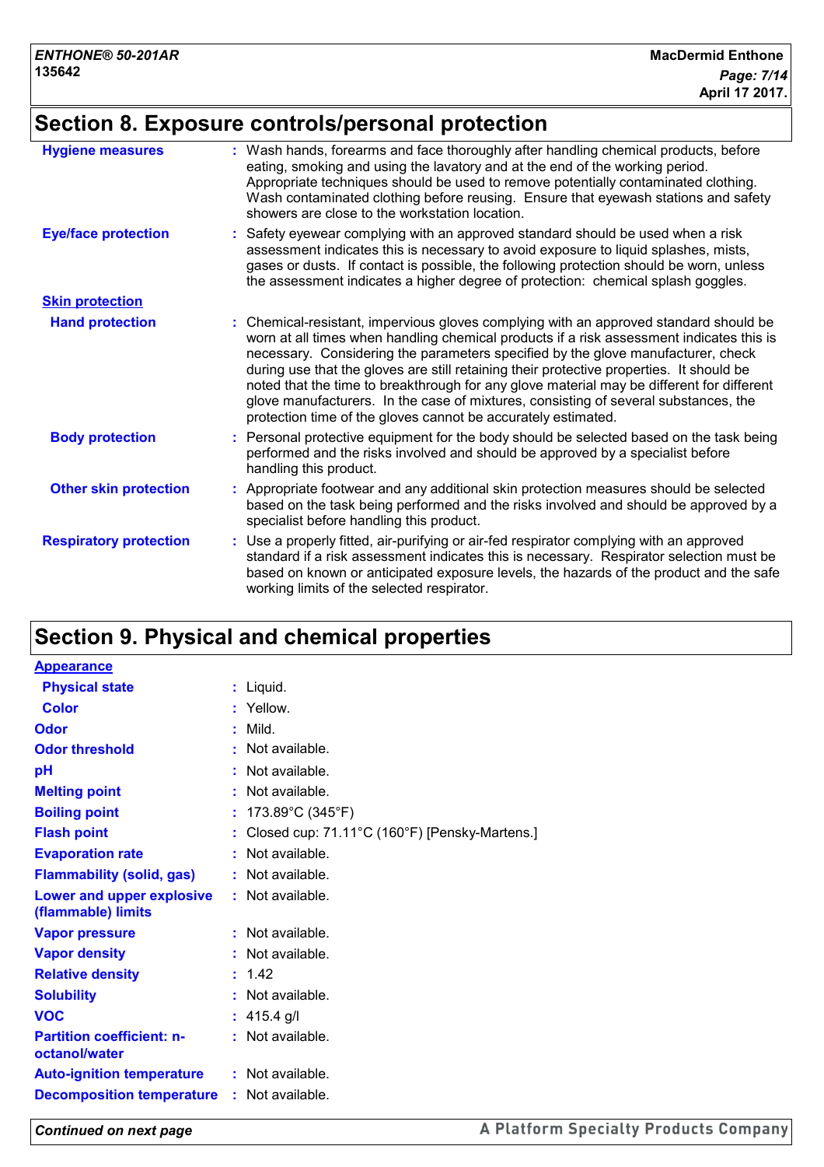# **Section 8. Exposure controls/personal protection**

| <b>Hygiene measures</b>       | : Wash hands, forearms and face thoroughly after handling chemical products, before<br>eating, smoking and using the lavatory and at the end of the working period.<br>Appropriate techniques should be used to remove potentially contaminated clothing.<br>Wash contaminated clothing before reusing. Ensure that eyewash stations and safety<br>showers are close to the workstation location.                                                                                                                                                                                                                      |
|-------------------------------|------------------------------------------------------------------------------------------------------------------------------------------------------------------------------------------------------------------------------------------------------------------------------------------------------------------------------------------------------------------------------------------------------------------------------------------------------------------------------------------------------------------------------------------------------------------------------------------------------------------------|
| <b>Eye/face protection</b>    | : Safety eyewear complying with an approved standard should be used when a risk<br>assessment indicates this is necessary to avoid exposure to liquid splashes, mists,<br>gases or dusts. If contact is possible, the following protection should be worn, unless<br>the assessment indicates a higher degree of protection: chemical splash goggles.                                                                                                                                                                                                                                                                  |
| <b>Skin protection</b>        |                                                                                                                                                                                                                                                                                                                                                                                                                                                                                                                                                                                                                        |
| <b>Hand protection</b>        | : Chemical-resistant, impervious gloves complying with an approved standard should be<br>worn at all times when handling chemical products if a risk assessment indicates this is<br>necessary. Considering the parameters specified by the glove manufacturer, check<br>during use that the gloves are still retaining their protective properties. It should be<br>noted that the time to breakthrough for any glove material may be different for different<br>glove manufacturers. In the case of mixtures, consisting of several substances, the<br>protection time of the gloves cannot be accurately estimated. |
| <b>Body protection</b>        | : Personal protective equipment for the body should be selected based on the task being<br>performed and the risks involved and should be approved by a specialist before<br>handling this product.                                                                                                                                                                                                                                                                                                                                                                                                                    |
| <b>Other skin protection</b>  | : Appropriate footwear and any additional skin protection measures should be selected<br>based on the task being performed and the risks involved and should be approved by a<br>specialist before handling this product.                                                                                                                                                                                                                                                                                                                                                                                              |
| <b>Respiratory protection</b> | : Use a properly fitted, air-purifying or air-fed respirator complying with an approved<br>standard if a risk assessment indicates this is necessary. Respirator selection must be<br>based on known or anticipated exposure levels, the hazards of the product and the safe<br>working limits of the selected respirator.                                                                                                                                                                                                                                                                                             |

# **Section 9. Physical and chemical properties**

| <b>Appearance</b>                                      |                                               |
|--------------------------------------------------------|-----------------------------------------------|
| <b>Physical state</b>                                  | : Liquid.                                     |
| <b>Color</b>                                           | : Yellow.                                     |
| Odor                                                   | : Mild.                                       |
| <b>Odor threshold</b>                                  | : Not available.                              |
| рH                                                     | : Not available.                              |
| <b>Melting point</b>                                   | : Not available.                              |
| <b>Boiling point</b>                                   | 173.89°C (345°F)                              |
| <b>Flash point</b>                                     | Closed cup: 71.11°C (160°F) [Pensky-Martens.] |
| <b>Evaporation rate</b>                                | : Not available.                              |
| <b>Flammability (solid, gas)</b>                       | : Not available.                              |
| <b>Lower and upper explosive</b><br>(flammable) limits | : Not available.                              |
| <b>Vapor pressure</b>                                  | $:$ Not available.                            |
| <b>Vapor density</b>                                   | : Not available.                              |
| <b>Relative density</b>                                | : 1.42                                        |
| <b>Solubility</b>                                      | $:$ Not available.                            |
| <b>VOC</b>                                             | : $415.4$ g/l                                 |
| <b>Partition coefficient: n-</b><br>octanol/water      | : Not available.                              |
| <b>Auto-ignition temperature</b>                       | $:$ Not available.                            |
| <b>Decomposition temperature</b>                       | $:$ Not available.                            |
|                                                        |                                               |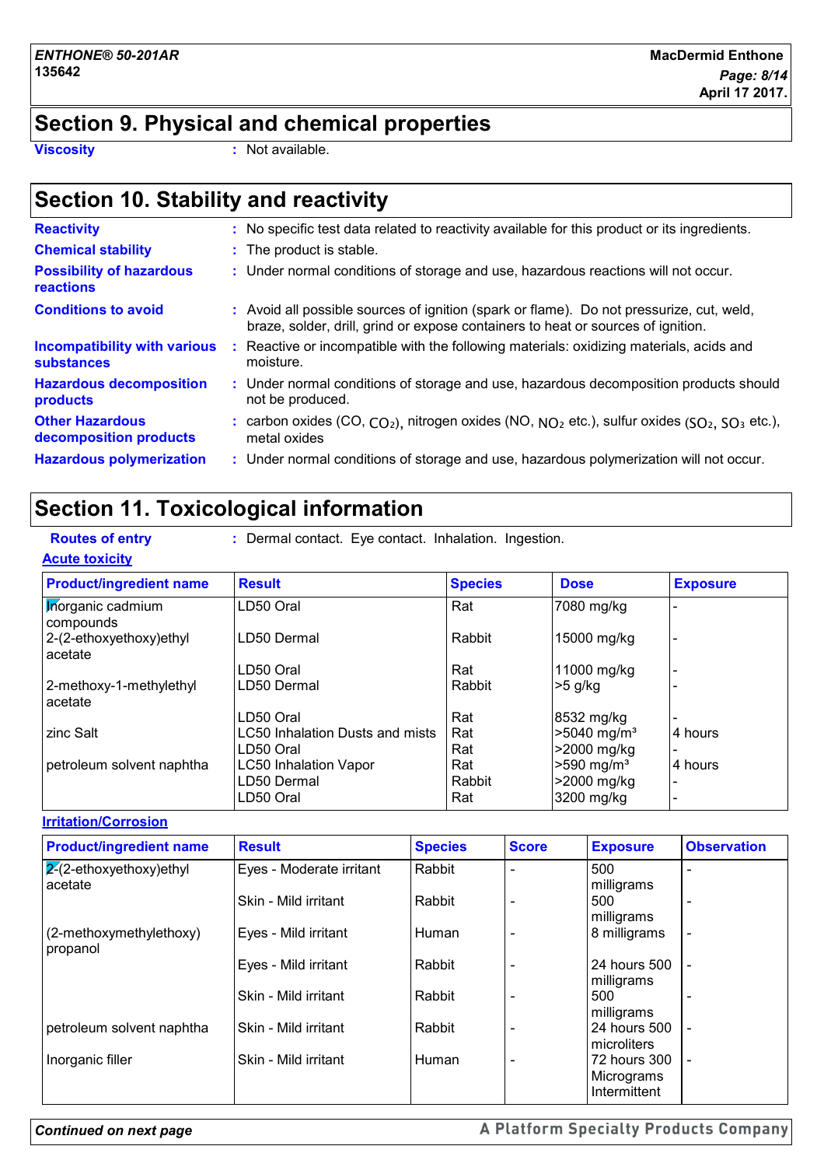## **Section 9. Physical and chemical properties**

**Viscosity :** Not available.

# **Section 10. Stability and reactivity**

| <b>Reactivity</b>                                 |    | : No specific test data related to reactivity available for this product or its ingredients.                                                                                 |
|---------------------------------------------------|----|------------------------------------------------------------------------------------------------------------------------------------------------------------------------------|
| <b>Chemical stability</b>                         |    | : The product is stable.                                                                                                                                                     |
| <b>Possibility of hazardous</b><br>reactions      |    | : Under normal conditions of storage and use, hazardous reactions will not occur.                                                                                            |
| <b>Conditions to avoid</b>                        |    | : Avoid all possible sources of ignition (spark or flame). Do not pressurize, cut, weld,<br>braze, solder, drill, grind or expose containers to heat or sources of ignition. |
| Incompatibility with various<br>substances        | ÷. | Reactive or incompatible with the following materials: oxidizing materials, acids and<br>moisture.                                                                           |
| <b>Hazardous decomposition</b><br><b>products</b> |    | : Under normal conditions of storage and use, hazardous decomposition products should<br>not be produced.                                                                    |
| <b>Other Hazardous</b><br>decomposition products  |    | : carbon oxides $(CO, CO2)$ , nitrogen oxides $(NO, NO2$ etc.), sulfur oxides $(SO2, SO3$ etc.),<br>metal oxides                                                             |
| <b>Hazardous polymerization</b>                   |    | : Under normal conditions of storage and use, hazardous polymerization will not occur.                                                                                       |

# **Section 11. Toxicological information**

|  |  | <b>Routes of entr</b> |  |  |
|--|--|-----------------------|--|--|
|  |  |                       |  |  |

**Routes of entry :** Dermal contact. Eye contact. Inhalation. Ingestion.

| <b>Acute toxicity</b>                 |                                 |                |                           |                 |
|---------------------------------------|---------------------------------|----------------|---------------------------|-----------------|
| <b>Product/ingredient name</b>        | <b>Result</b>                   | <b>Species</b> | <b>Dose</b>               | <b>Exposure</b> |
| <b>Inorganic cadmium</b><br>compounds | LD50 Oral                       | Rat            | 7080 mg/kg                |                 |
| 2-(2-ethoxyethoxy)ethyl<br>acetate    | LD50 Dermal                     | Rabbit         | 15000 mg/kg               |                 |
|                                       | LD50 Oral                       | Rat            | 11000 mg/kg               |                 |
| 2-methoxy-1-methylethyl<br>acetate    | LD50 Dermal                     | Rabbit         | -5 g/kg                   |                 |
|                                       | LD50 Oral                       | Rat            | 8532 mg/kg                |                 |
| zinc Salt                             | LC50 Inhalation Dusts and mists | Rat            | $>5040$ mg/m <sup>3</sup> | 4 hours         |
|                                       | LD50 Oral                       | Rat            | >2000 mg/kg               |                 |
| petroleum solvent naphtha             | <b>LC50 Inhalation Vapor</b>    | Rat            | $>590$ mg/m <sup>3</sup>  | 4 hours         |
|                                       | LD50 Dermal                     | Rabbit         | >2000 mg/kg               |                 |
|                                       | LD50 Oral                       | Rat            | 3200 mg/kg                |                 |

#### **Irritation/Corrosion**

| <b>Product/ingredient name</b>            | <b>Result</b>            | <b>Species</b> | <b>Score</b> | <b>Exposure</b>                            | <b>Observation</b>       |
|-------------------------------------------|--------------------------|----------------|--------------|--------------------------------------------|--------------------------|
| $\sqrt{2}$ -ethoxyethoxy)ethyl<br>acetate | Eyes - Moderate irritant | Rabbit         |              | 500<br>milligrams                          |                          |
|                                           | Skin - Mild irritant     | Rabbit         |              | 500<br>milligrams                          |                          |
| (2-methoxymethylethoxy)<br>propanol       | Eyes - Mild irritant     | Human          |              | 8 milligrams                               | $\overline{\phantom{a}}$ |
|                                           | Eyes - Mild irritant     | Rabbit         |              | 24 hours 500<br>milligrams                 |                          |
|                                           | Skin - Mild irritant     | Rabbit         |              | 500<br>milligrams                          |                          |
| petroleum solvent naphtha                 | Skin - Mild irritant     | Rabbit         |              | 24 hours 500<br>microliters                | $\overline{\phantom{a}}$ |
| Inorganic filler                          | Skin - Mild irritant     | Human          |              | 72 hours 300<br>Micrograms<br>Intermittent | $\overline{\phantom{a}}$ |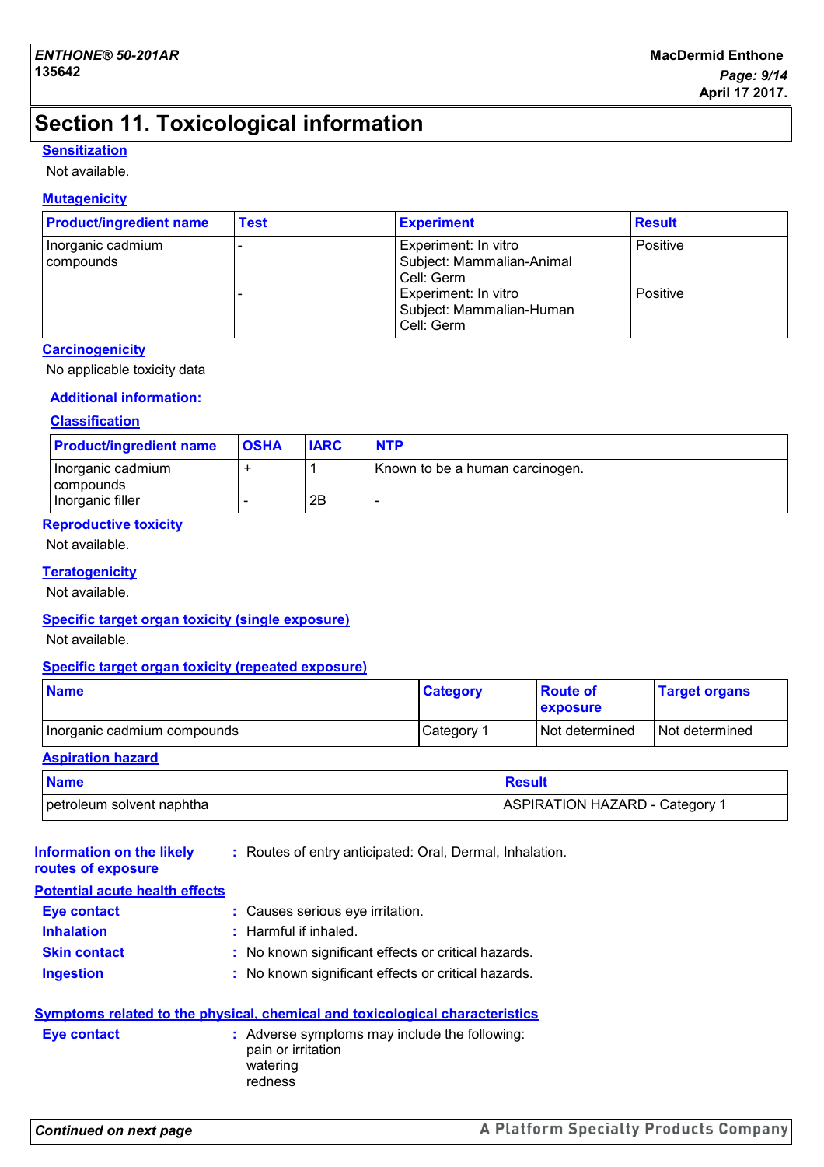# **Section 11. Toxicological information**

#### **Sensitization**

Not available.

#### **Mutagenicity**

| <b>Product/ingredient name</b> | <b>Test</b> | <b>Experiment</b>                                               | <b>Result</b> |
|--------------------------------|-------------|-----------------------------------------------------------------|---------------|
| Inorganic cadmium<br>compounds |             | Experiment: In vitro<br>Subject: Mammalian-Animal<br>Cell: Germ | Positive      |
|                                |             | Experiment: In vitro<br>Subject: Mammalian-Human<br>Cell: Germ  | Positive      |

#### **Carcinogenicity**

No applicable toxicity data

#### **Additional information:**

#### **Classification**

| <b>Product/ingredient name</b>   | <b>OSHA</b> | <b>IARC</b> | <b>NTP</b>                      |
|----------------------------------|-------------|-------------|---------------------------------|
| Inorganic cadmium<br>  compounds |             |             | Known to be a human carcinogen. |
| Inorganic filler                 |             | 2Β          |                                 |

#### **Reproductive toxicity**

Not available.

#### **Teratogenicity**

Not available.

#### **Specific target organ toxicity (single exposure)**

Not available.

#### **Specific target organ toxicity (repeated exposure)**

| <b>Name</b>                 | <b>Category</b> | <b>Route of</b><br><b>exposure</b> | <b>Target organs</b> |
|-----------------------------|-----------------|------------------------------------|----------------------|
| Inorganic cadmium compounds | Category 1      | I Not determined                   | I Not determined     |

#### **Aspiration hazard**

| <b>Name</b>               | <b>Result</b>                |
|---------------------------|------------------------------|
| petroleum solvent naphtha | ASPIRATION HAZARD - Category |

| Information on the likely<br>routes of exposure | : Routes of entry anticipated: Oral, Dermal, Inhalation.                                   |
|-------------------------------------------------|--------------------------------------------------------------------------------------------|
| <b>Potential acute health effects</b>           |                                                                                            |
| <b>Eye contact</b>                              | : Causes serious eye irritation.                                                           |
| <b>Inhalation</b>                               | $:$ Harmful if inhaled.                                                                    |
| <b>Skin contact</b>                             | : No known significant effects or critical hazards.                                        |
| <b>Ingestion</b>                                | : No known significant effects or critical hazards.                                        |
|                                                 | <b>Symptoms related to the physical, chemical and toxicological characteristics</b>        |
| <b>Eye contact</b>                              | : Adverse symptoms may include the following:<br>pain or irritation<br>watering<br>redness |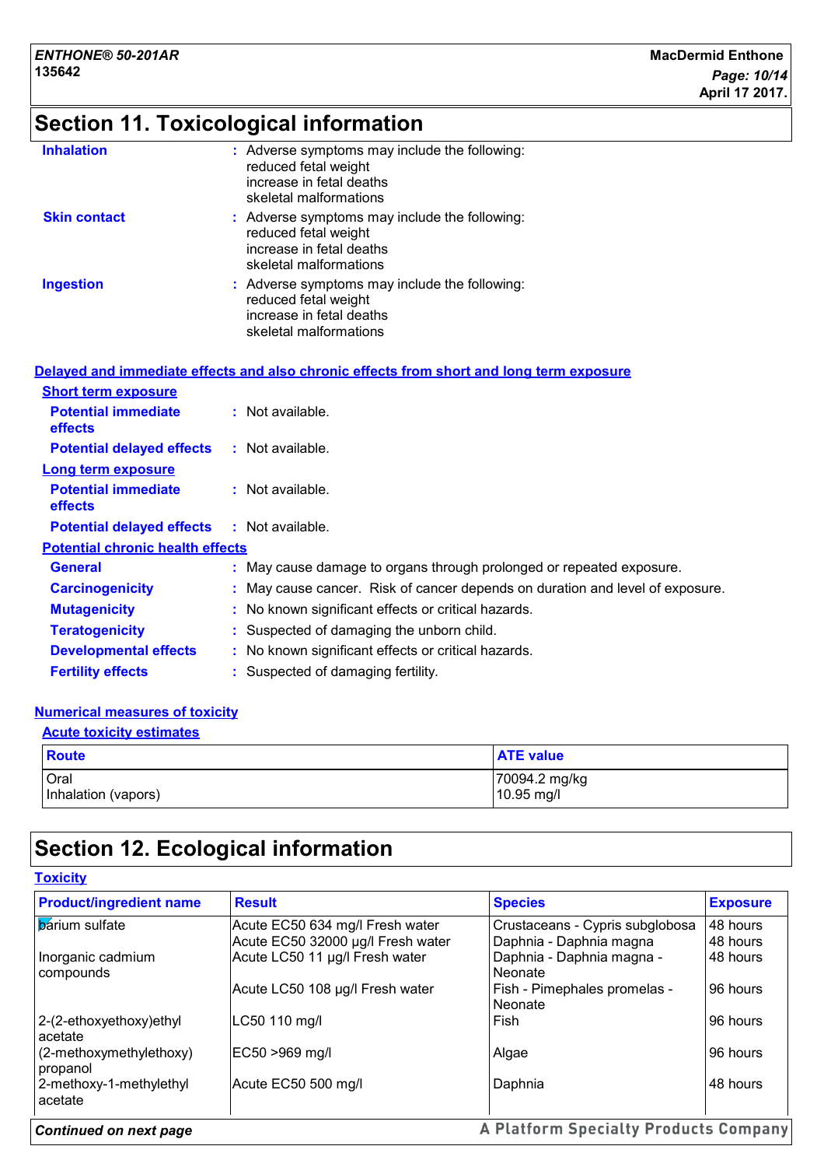# **Section 11. Toxicological information**

| <b>Inhalation</b>   | : Adverse symptoms may include the following:<br>reduced fetal weight<br>increase in fetal deaths<br>skeletal malformations |
|---------------------|-----------------------------------------------------------------------------------------------------------------------------|
| <b>Skin contact</b> | : Adverse symptoms may include the following:<br>reduced fetal weight<br>increase in fetal deaths<br>skeletal malformations |
| <b>Ingestion</b>    | : Adverse symptoms may include the following:<br>reduced fetal weight<br>increase in fetal deaths<br>skeletal malformations |

|                                                   | Delayed and immediate effects and also chronic effects from short and long term exposure |
|---------------------------------------------------|------------------------------------------------------------------------------------------|
| <b>Short term exposure</b>                        |                                                                                          |
| <b>Potential immediate</b><br><b>effects</b>      | $:$ Not available.                                                                       |
| <b>Potential delayed effects</b>                  | : Not available.                                                                         |
| Long term exposure                                |                                                                                          |
| <b>Potential immediate</b><br><b>effects</b>      | $:$ Not available.                                                                       |
| <b>Potential delayed effects : Not available.</b> |                                                                                          |
| <b>Potential chronic health effects</b>           |                                                                                          |
| <b>General</b>                                    | : May cause damage to organs through prolonged or repeated exposure.                     |
| <b>Carcinogenicity</b>                            | : May cause cancer. Risk of cancer depends on duration and level of exposure.            |
| <b>Mutagenicity</b>                               | : No known significant effects or critical hazards.                                      |
| <b>Teratogenicity</b>                             | : Suspected of damaging the unborn child.                                                |
| <b>Developmental effects</b>                      | : No known significant effects or critical hazards.                                      |
| <b>Fertility effects</b>                          | : Suspected of damaging fertility.                                                       |

#### **Numerical measures of toxicity**

| <b>Acute toxicity estimates</b>    |                             |  |  |  |
|------------------------------------|-----------------------------|--|--|--|
| <b>Route</b>                       | <b>ATE</b> value            |  |  |  |
| <b>Oral</b><br>Inhalation (vapors) | 70094.2 mg/kg<br>10.95 mg/l |  |  |  |

# **Section 12. Ecological information**

| <b>Toxicity</b> |  |
|-----------------|--|
|-----------------|--|

| <b>Product/ingredient name</b>      | <b>Result</b>                     | <b>Species</b>                               | <b>Exposure</b> |
|-------------------------------------|-----------------------------------|----------------------------------------------|-----------------|
| <b>b</b> arium sulfate              | Acute EC50 634 mg/l Fresh water   | Crustaceans - Cypris subglobosa              | 48 hours        |
|                                     | Acute EC50 32000 µg/l Fresh water | Daphnia - Daphnia magna                      | 48 hours        |
| Inorganic cadmium<br>compounds      | Acute LC50 11 µg/l Fresh water    | Daphnia - Daphnia magna -<br>Neonate         | 48 hours        |
|                                     | Acute LC50 108 µg/l Fresh water   | Fish - Pimephales promelas -<br>Neonate      | 96 hours        |
| 2-(2-ethoxyethoxy)ethyl<br>acetate  | LC50 110 mg/l                     | l Fish                                       | 96 hours        |
| (2-methoxymethylethoxy)<br>propanol | EC50 >969 mg/l                    | Algae                                        | 96 hours        |
| 2-methoxy-1-methylethyl<br>acetate  | Acute EC50 500 mg/l               | Daphnia                                      | 48 hours        |
| <b>Continued on next page</b>       |                                   | <b>A Platform Specialty Products Company</b> |                 |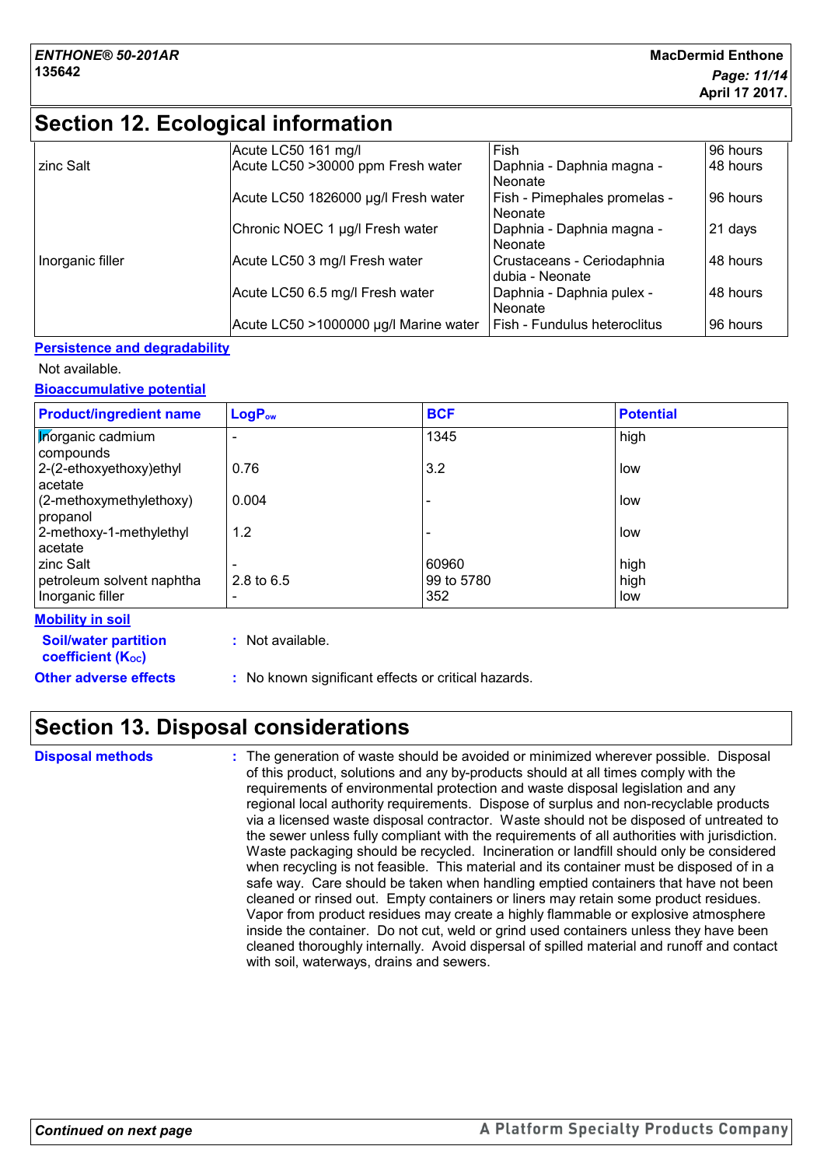# **Section 12. Ecological information**

|                  | Acute LC50 161 mg/l                   | Fish                                          | 96 hours |
|------------------|---------------------------------------|-----------------------------------------------|----------|
| zinc Salt        | Acute LC50 >30000 ppm Fresh water     | Daphnia - Daphnia magna -<br>Neonate          | 48 hours |
|                  | Acute LC50 1826000 µg/l Fresh water   | Fish - Pimephales promelas -<br>Neonate       | 96 hours |
|                  | Chronic NOEC 1 µg/l Fresh water       | Daphnia - Daphnia magna -<br>Neonate          | 21 days  |
| Inorganic filler | Acute LC50 3 mg/l Fresh water         | Crustaceans - Ceriodaphnia<br>dubia - Neonate | 48 hours |
|                  | Acute LC50 6.5 mg/l Fresh water       | Daphnia - Daphnia pulex -<br>Neonate          | 48 hours |
|                  | Acute LC50 >1000000 µg/l Marine water | Fish - Fundulus heteroclitus                  | 96 hours |

#### **Persistence and degradability**

#### Not available.

**Bioaccumulative potential**

| <b>Product/ingredient name</b>                | $LogP_{ow}$  | <b>BCF</b>        | <b>Potential</b> |
|-----------------------------------------------|--------------|-------------------|------------------|
| <b>Morganic cadmium</b><br>compounds          |              | 1345              | high             |
| 2-(2-ethoxyethoxy)ethyl<br>acetate            | 0.76         | 3.2               | low              |
| (2-methoxymethylethoxy)<br>propanol           | 0.004        |                   | low              |
| 2-methoxy-1-methylethyl<br>acetate            | 1.2          |                   | low              |
| zinc Salt                                     |              | 60960             | high             |
| petroleum solvent naphtha<br>Inorganic filler | 2.8 to $6.5$ | 99 to 5780<br>352 | high<br>low      |

#### **Mobility in soil**

| <b>Soil/water partition</b><br>coefficient (K <sub>oc</sub> ) | : Not available.                                    |
|---------------------------------------------------------------|-----------------------------------------------------|
| <b>Other adverse effects</b>                                  | : No known significant effects or critical hazards. |

## **Section 13. Disposal considerations**

The generation of waste should be avoided or minimized wherever possible. Disposal of this product, solutions and any by-products should at all times comply with the requirements of environmental protection and waste disposal legislation and any regional local authority requirements. Dispose of surplus and non-recyclable products via a licensed waste disposal contractor. Waste should not be disposed of untreated to the sewer unless fully compliant with the requirements of all authorities with jurisdiction. Waste packaging should be recycled. Incineration or landfill should only be considered when recycling is not feasible. This material and its container must be disposed of in a safe way. Care should be taken when handling emptied containers that have not been cleaned or rinsed out. Empty containers or liners may retain some product residues. Vapor from product residues may create a highly flammable or explosive atmosphere inside the container. Do not cut, weld or grind used containers unless they have been cleaned thoroughly internally. Avoid dispersal of spilled material and runoff and contact with soil, waterways, drains and sewers. **Disposal methods :**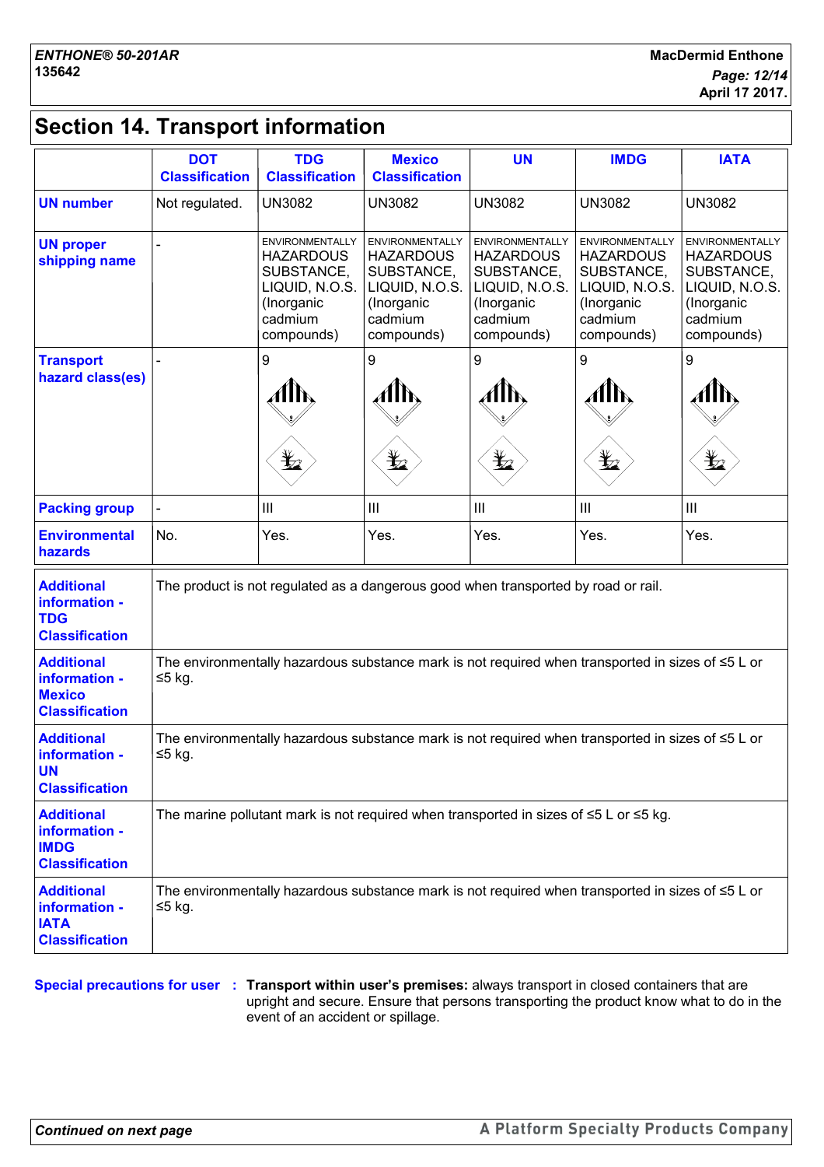# **Section 14. Transport information**

|                                                                              | <b>DOT</b><br><b>Classification</b>                                                                                 | <b>TDG</b><br><b>Classification</b>                                                                               | <b>Mexico</b><br><b>Classification</b>                                                                            | <b>UN</b>                                                                                                         | <b>IMDG</b>                                                                                                       | <b>IATA</b>                                                                                                       |
|------------------------------------------------------------------------------|---------------------------------------------------------------------------------------------------------------------|-------------------------------------------------------------------------------------------------------------------|-------------------------------------------------------------------------------------------------------------------|-------------------------------------------------------------------------------------------------------------------|-------------------------------------------------------------------------------------------------------------------|-------------------------------------------------------------------------------------------------------------------|
| <b>UN number</b>                                                             | Not regulated.                                                                                                      | <b>UN3082</b>                                                                                                     | <b>UN3082</b>                                                                                                     | <b>UN3082</b>                                                                                                     | <b>UN3082</b>                                                                                                     | <b>UN3082</b>                                                                                                     |
| <b>UN proper</b><br>shipping name                                            |                                                                                                                     | <b>ENVIRONMENTALLY</b><br><b>HAZARDOUS</b><br>SUBSTANCE,<br>LIQUID, N.O.S.<br>(Inorganic<br>cadmium<br>compounds) | <b>ENVIRONMENTALLY</b><br><b>HAZARDOUS</b><br>SUBSTANCE,<br>LIQUID, N.O.S.<br>(Inorganic<br>cadmium<br>compounds) | <b>ENVIRONMENTALLY</b><br><b>HAZARDOUS</b><br>SUBSTANCE,<br>LIQUID, N.O.S.<br>(Inorganic<br>cadmium<br>compounds) | <b>ENVIRONMENTALLY</b><br><b>HAZARDOUS</b><br>SUBSTANCE,<br>LIQUID, N.O.S.<br>(Inorganic<br>cadmium<br>compounds) | <b>ENVIRONMENTALLY</b><br><b>HAZARDOUS</b><br>SUBSTANCE,<br>LIQUID, N.O.S.<br>(Inorganic<br>cadmium<br>compounds) |
| <b>Transport</b><br>hazard class(es)                                         |                                                                                                                     | 9<br>$\bigstar$                                                                                                   | 9<br>Alh<br>q                                                                                                     | 9<br>AIN<br>$\bigstar$                                                                                            | 9<br>AllN<br>$\bigstar$                                                                                           | 9<br>AIN<br>$\bigstar$                                                                                            |
| <b>Packing group</b>                                                         |                                                                                                                     | III                                                                                                               | III                                                                                                               | III                                                                                                               | $\mathop{\rm III}$                                                                                                | $\mathop{\rm III}$                                                                                                |
| <b>Environmental</b><br>hazards                                              | No.                                                                                                                 | Yes.                                                                                                              | Yes.                                                                                                              | Yes.                                                                                                              | Yes.                                                                                                              | Yes.                                                                                                              |
| <b>Additional</b><br>information -<br><b>TDG</b><br><b>Classification</b>    | The product is not regulated as a dangerous good when transported by road or rail.                                  |                                                                                                                   |                                                                                                                   |                                                                                                                   |                                                                                                                   |                                                                                                                   |
| <b>Additional</b><br>information -<br><b>Mexico</b><br><b>Classification</b> | The environmentally hazardous substance mark is not required when transported in sizes of $\leq 5$ L or<br>$≤5$ kg. |                                                                                                                   |                                                                                                                   |                                                                                                                   |                                                                                                                   |                                                                                                                   |
| <b>Additional</b><br>information -<br><b>UN</b><br><b>Classification</b>     | The environmentally hazardous substance mark is not required when transported in sizes of $\leq 5$ L or<br>≤5 kg.   |                                                                                                                   |                                                                                                                   |                                                                                                                   |                                                                                                                   |                                                                                                                   |
| <b>Additional</b><br>information -<br><b>IMDG</b><br><b>Classification</b>   | The marine pollutant mark is not required when transported in sizes of $\leq 5$ L or $\leq 5$ kg.                   |                                                                                                                   |                                                                                                                   |                                                                                                                   |                                                                                                                   |                                                                                                                   |
| <b>Additional</b><br>information -<br><b>IATA</b><br><b>Classification</b>   | The environmentally hazardous substance mark is not required when transported in sizes of ≤5 L or<br>≤5 kg.         |                                                                                                                   |                                                                                                                   |                                                                                                                   |                                                                                                                   |                                                                                                                   |

**Special precautions for user Transport within user's premises:** always transport in closed containers that are **:** upright and secure. Ensure that persons transporting the product know what to do in the event of an accident or spillage.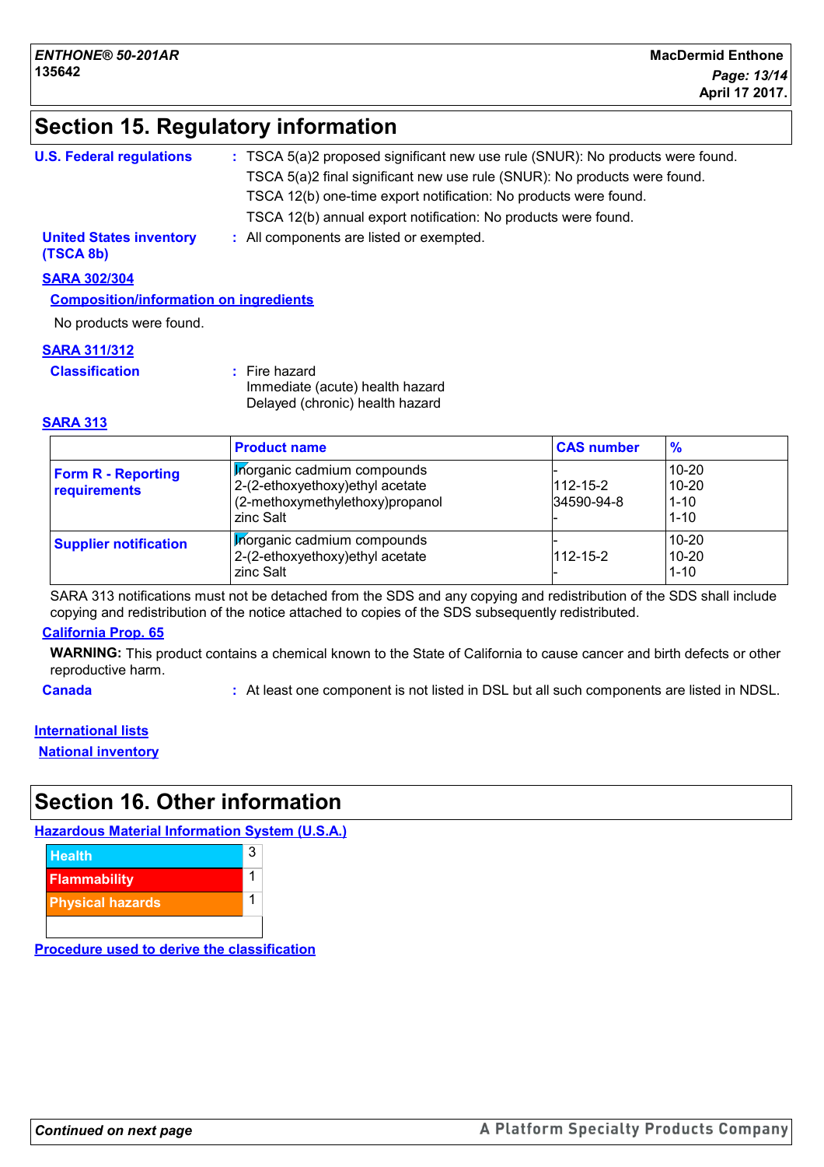# **Section 15. Regulatory information**

| : TSCA 5(a)2 proposed significant new use rule (SNUR): No products were found. |
|--------------------------------------------------------------------------------|
| TSCA 5(a)2 final significant new use rule (SNUR): No products were found.      |
| TSCA 12(b) one-time export notification: No products were found.               |
| TSCA 12(b) annual export notification: No products were found.                 |
| : All components are listed or exempted.                                       |
|                                                                                |

**SARA 302/304**

**Composition/information on ingredients**

No products were found.

#### **SARA 311/312**

**Classification :** Fire hazard

Immediate (acute) health hazard Delayed (chronic) health hazard

#### **SARA 313**

|                                           | <b>Product name</b>                                                                                            | <b>CAS number</b>            | $\frac{9}{6}$                              |
|-------------------------------------------|----------------------------------------------------------------------------------------------------------------|------------------------------|--------------------------------------------|
| <b>Form R - Reporting</b><br>requirements | Morganic cadmium compounds<br>2-(2-ethoxyethoxy) ethyl acetate<br>(2-methoxymethylethoxy)propanol<br>zinc Salt | $112 - 15 - 2$<br>34590-94-8 | $10 - 20$<br>10-20<br>$1 - 10$<br>$1 - 10$ |
| <b>Supplier notification</b>              | Morganic cadmium compounds<br>2-(2-ethoxyethoxy) ethyl acetate<br>zinc Salt                                    | $112 - 15 - 2$               | $10 - 20$<br>$10 - 20$<br>$1 - 10$         |

SARA 313 notifications must not be detached from the SDS and any copying and redistribution of the SDS shall include copying and redistribution of the notice attached to copies of the SDS subsequently redistributed.

#### **California Prop. 65**

**WARNING:** This product contains a chemical known to the State of California to cause cancer and birth defects or other reproductive harm.

**Canada :** At least one component is not listed in DSL but all such components are listed in NDSL.

#### **International lists**

**National inventory**

## **Section 16. Other information**

**Hazardous Material Information System (U.S.A.)**



**Procedure used to derive the classification**